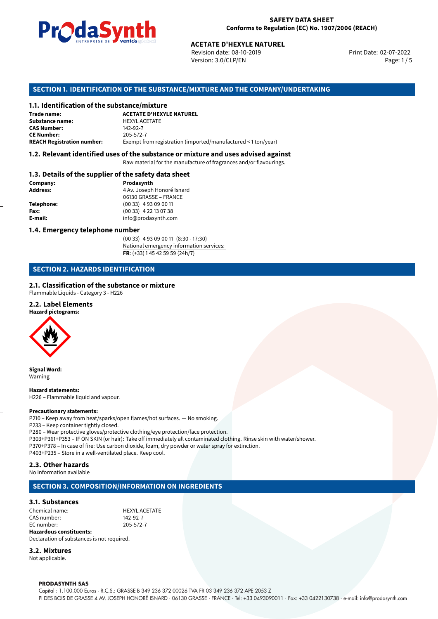

Revision date: 08-10-2019 Version: 3.0/CLP/EN Page: 1 / 5

Print Date: 02-07-2022

# **SECTION 1. IDENTIFICATION OF THE SUBSTANCE/MIXTURE AND THE COMPANY/UNDERTAKING**

# **1.1. Identification of the substance/mixture**

|                                              | LIVINLENISL DE STUDIS SUSSESSIONS<br><b>ACETATE D'HEXYLE NATUREL</b><br>Revision date: 08-10-2019<br>Version: 3.0/CLP/EN |
|----------------------------------------------|--------------------------------------------------------------------------------------------------------------------------|
|                                              | SECTION 1. IDENTIFICATION OF THE SUBSTANCE/MIXTURE AND THE COMPANY/                                                      |
| 1.1. Identification of the substance/mixture |                                                                                                                          |
| Trade name:                                  | <b>ACETATE D'HEXYLE NATUREL</b>                                                                                          |
| Substance name:                              | <b>HEXYL ACETATE</b>                                                                                                     |
| <b>CAS Number:</b>                           | 142-92-7                                                                                                                 |
| <b>CE Number:</b>                            | 205-572-7                                                                                                                |
| <b>REACH Registration number:</b>            | Exempt from registration (imported/manufactured < 1 ton/year)                                                            |
|                                              |                                                                                                                          |

# **1.2. Relevant identified uses of the substance or mixture and uses advised against**

Raw material for the manufacture of fragrances and/or flavourings.

### **1.3. Details of the supplier of the safety data sheet**

| Company:          | Prodasynth                 |  |
|-------------------|----------------------------|--|
| <b>Address:</b>   | 4 Av. Joseph Honoré Isnard |  |
|                   | 06130 GRASSE - FRANCE      |  |
| <b>Telephone:</b> | $(0033)$ 4 93 09 00 11     |  |
| Fax:              | $(0033)$ 4 22 13 07 38     |  |
| E-mail:           | info@prodasynth.com        |  |
|                   |                            |  |

# **1.4. Emergency telephone number**

(00 33) 4 93 09 00 11 (8:30 - 17:30) National emergency information services: **FR**: (+33) 1 45 42 59 59 (24h/7)

# **SECTION 2. HAZARDS IDENTIFICATION**

# **2.1. Classification of the substance or mixture**

Flammable Liquids - Category 3 - H226

### **2.2. Label Elements**

**Hazard pictograms:**



**Signal Word:** Warning

**Hazard statements:** H226 – Flammable liquid and vapour.

#### **Precautionary statements:**

P210 – Keep away from heat/sparks/open flames/hot surfaces. — No smoking. P233 – Keep container tightly closed. P280 – Wear protective gloves/protective clothing/eye protection/face protection. P303+P361+P353 – IF ON SKIN (or hair): Take off immediately all contaminated clothing. Rinse skin with water/shower. P370+P378 – In case of fire: Use carbon dioxide, foam, dry powder or water spray for extinction. P403+P235 – Store in a well-ventilated place. Keep cool.

# **2.3. Other hazards**

No Information available

# **SECTION 3. COMPOSITION/INFORMATION ON INGREDIENTS**

# **3.1. Substances**

Chemical name:<br>
CAS number:<br>
CAS number:<br>
142-92-7 CAS number: EC number: 205-572-7

**Hazardous constituents:** Declaration of substances is not required.

# **3.2. Mixtures**

Not applicable.

#### **PRODASYNTH SAS**

Capital : 1.100.000 Euros · R.C.S.: GRASSE B 349 236 372 00026 TVA FR 03 349 236 372 APE 2053 Z PI DES BOIS DE GRASSE 4 AV. JOSEPH HONORÉ ISNARD · 06130 GRASSE · FRANCE · Tel: +33 0493090011 · Fax: +33 0422130738 · e-mail: info@prodasynth.com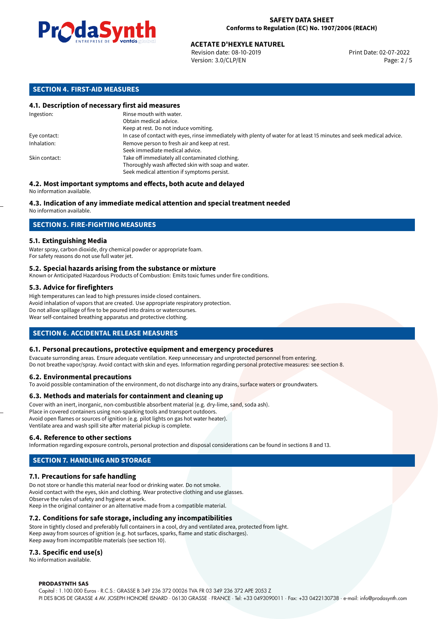

# **ACETATE D'HEXYLE NATUREL<br>
Revision date: 08-10-2019**<br> **Print Date: 02-07-2022**

Revision date: 08-10-2019 Version: 3.0/CLP/EN Page: 2 / 5

# **SECTION 4. FIRST-AID MEASURES**

# **4.1. Description of necessary first aid measures**

| Ingestion:    | Rinse mouth with water.<br>Obtain medical advice.                                                                                                    |
|---------------|------------------------------------------------------------------------------------------------------------------------------------------------------|
|               | Keep at rest. Do not induce vomiting.                                                                                                                |
| Eye contact:  | In case of contact with eyes, rinse immediately with plenty of water for at least 15 minutes and seek medical advice.                                |
| Inhalation:   | Remove person to fresh air and keep at rest.<br>Seek immediate medical advice.                                                                       |
| Skin contact: | Take off immediately all contaminated clothing.<br>Thoroughly wash affected skin with soap and water.<br>Seek medical attention if symptoms persist. |

#### **4.2. Most important symptoms and effects, both acute and delayed** No information available.

# **4.3. Indication of any immediate medical attention and special treatment needed**

No information available.

# **SECTION 5. FIRE-FIGHTING MEASURES**

# **5.1. Extinguishing Media**

Water spray, carbon dioxide, dry chemical powder or appropriate foam. For safety reasons do not use full water jet.

### **5.2. Special hazards arising from the substance or mixture**

Known or Anticipated Hazardous Products of Combustion: Emits toxic fumes under fire conditions.

### **5.3. Advice for firefighters**

High temperatures can lead to high pressures inside closed containers. Avoid inhalation of vapors that are created. Use appropriate respiratory protection. Do not allow spillage of fire to be poured into drains or watercourses. Wear self-contained breathing apparatus and protective clothing.

# **SECTION 6. ACCIDENTAL RELEASE MEASURES**

# **6.1. Personal precautions, protective equipment and emergency procedures**

Evacuate surronding areas. Ensure adequate ventilation. Keep unnecessary and unprotected personnel from entering. Do not breathe vapor/spray. Avoid contact with skin and eyes. Information regarding personal protective measures: see section 8.

#### **6.2. Environmental precautions**

To avoid possible contamination of the environment, do not discharge into any drains, surface waters or groundwaters.

#### **6.3. Methods and materials for containment and cleaning up**

Cover with an inert, inorganic, non-combustible absorbent material (e.g. dry-lime, sand, soda ash). Place in covered containers using non-sparking tools and transport outdoors. Avoid open flames or sources of ignition (e.g. pilot lights on gas hot water heater). Ventilate area and wash spill site after material pickup is complete.

#### **6.4. Reference to other sections**

Information regarding exposure controls, personal protection and disposal considerations can be found in sections 8 and 13.

# **SECTION 7. HANDLING AND STORAGE**

# **7.1. Precautions for safe handling**

Do not store or handle this material near food or drinking water. Do not smoke. Avoid contact with the eyes, skin and clothing. Wear protective clothing and use glasses. Observe the rules of safety and hygiene at work. Keep in the original container or an alternative made from a compatible material.

# **7.2. Conditions for safe storage, including any incompatibilities**

Store in tightly closed and preferably full containers in a cool, dry and ventilated area, protected from light. Keep away from sources of ignition (e.g. hot surfaces, sparks, flame and static discharges). Keep away from incompatible materials (see section 10).

# **7.3. Specific end use(s)**

No information available.

#### **PRODASYNTH SAS**

Capital : 1.100.000 Euros · R.C.S.: GRASSE B 349 236 372 00026 TVA FR 03 349 236 372 APE 2053 Z PI DES BOIS DE GRASSE 4 AV. JOSEPH HONORÉ ISNARD · 06130 GRASSE · FRANCE · Tel: +33 0493090011 · Fax: +33 0422130738 · e-mail: info@prodasynth.com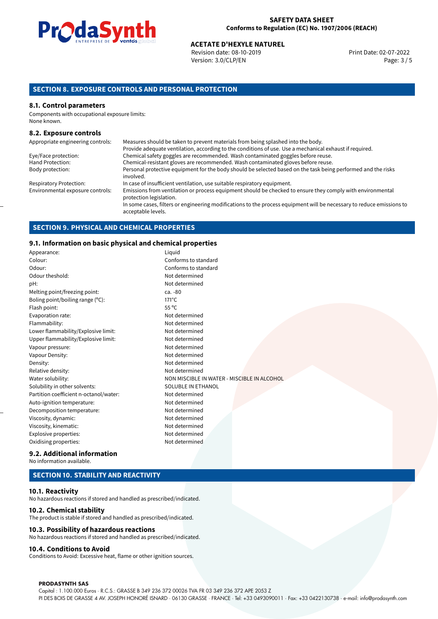

# **ACETATE D'HEXYLE NATUREL<br>
Revision date: 08-10-2019 Access Print Date: 02-07-2022** Print Date: 02-07-2022

Revision date: 08-10-2019 Version: 3.0/CLP/EN Page: 3 / 5

# **SECTION 8. EXPOSURE CONTROLS AND PERSONAL PROTECTION**

# **8.1. Control parameters**

Components with occupational exposure limits: None known.

## **8.2. Exposure controls**

| Appropriate engineering controls: | Measures should be taken to prevent materials from being splashed into the body.                                                            |
|-----------------------------------|---------------------------------------------------------------------------------------------------------------------------------------------|
|                                   | Provide adequate ventilation, according to the conditions of use. Use a mechanical exhaust if required.                                     |
| Eye/Face protection:              | Chemical safety goggles are recommended. Wash contaminated goggles before reuse.                                                            |
| Hand Protection:                  | Chemical-resistant gloves are recommended. Wash contaminated gloves before reuse.                                                           |
| Body protection:                  | Personal protective equipment for the body should be selected based on the task being performed and the risks<br>involved.                  |
| <b>Respiratory Protection:</b>    | In case of insufficient ventilation, use suitable respiratory equipment.                                                                    |
| Environmental exposure controls:  | Emissions from ventilation or process equipment should be checked to ensure they comply with environmental<br>protection legislation.       |
|                                   | In some cases, filters or engineering modifications to the process equipment will be necessary to reduce emissions to<br>acceptable levels. |

# **SECTION 9. PHYSICAL AND CHEMICAL PROPERTIES**

# **9.1. Information on basic physical and chemical properties**

| siii illiofiliation on basic physical and chemical properties |                                             |  |  |
|---------------------------------------------------------------|---------------------------------------------|--|--|
| Appearance:                                                   | Liquid                                      |  |  |
| Colour:                                                       | Conforms to standard                        |  |  |
| Odour:                                                        | Conforms to standard                        |  |  |
| Odour theshold:                                               | Not determined                              |  |  |
| pH:                                                           | Not determined                              |  |  |
| Melting point/freezing point:                                 | ca. -80                                     |  |  |
| Boling point/boiling range (°C):                              | $171^{\circ}$ C                             |  |  |
| Flash point:                                                  | $55^{\circ}$ C                              |  |  |
| Evaporation rate:                                             | Not determined                              |  |  |
| Flammability:                                                 | Not determined                              |  |  |
| Lower flammability/Explosive limit:                           | Not determined                              |  |  |
| Upper flammability/Explosive limit:                           | Not determined                              |  |  |
| Vapour pressure:                                              | Not determined                              |  |  |
| Vapour Density:                                               | Not determined                              |  |  |
| Density:                                                      | Not determined                              |  |  |
| Relative density:                                             | Not determined                              |  |  |
| Water solubility:                                             | NON MISCIBLE IN WATER - MISCIBLE IN ALCOHOL |  |  |
| Solubility in other solvents:                                 | SOLUBLE IN ETHANOL                          |  |  |
| Partition coefficient n-octanol/water:                        | Not determined                              |  |  |
| Auto-ignition temperature:                                    | Not determined                              |  |  |
| Decomposition temperature:                                    | Not determined                              |  |  |
| Viscosity, dynamic:                                           | Not determined                              |  |  |
| Viscosity, kinematic:                                         | Not determined                              |  |  |
| Explosive properties:                                         | Not determined                              |  |  |
| Oxidising properties:                                         | Not determined                              |  |  |
|                                                               |                                             |  |  |

# **9.2. Additional information**

No information available.

# **SECTION 10. STABILITY AND REACTIVITY**

### **10.1. Reactivity**

No hazardous reactions if stored and handled as prescribed/indicated.

# **10.2. Chemical stability**

The product is stable if stored and handled as prescribed/indicated.

## **10.3. Possibility of hazardous reactions**

No hazardous reactions if stored and handled as prescribed/indicated.

# **10.4. Conditions to Avoid**

Conditions to Avoid: Excessive heat, flame or other ignition sources.

#### **PRODASYNTH SAS**

Capital : 1.100.000 Euros · R.C.S.: GRASSE B 349 236 372 00026 TVA FR 03 349 236 372 APE 2053 Z PI DES BOIS DE GRASSE 4 AV. JOSEPH HONORÉ ISNARD · 06130 GRASSE · FRANCE · Tel: +33 0493090011 · Fax: +33 0422130738 · e-mail: info@prodasynth.com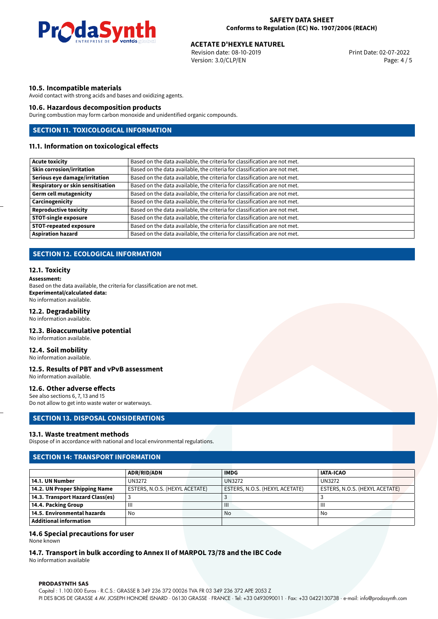

# **ACETATE D'HEXYLE NATUREL<br>
Revision date: 08-10-2019**<br> **Print Date: 02-07-2022**

Revision date: 08-10-2019 Version: 3.0/CLP/EN Page: 4 / 5

# **10.5. Incompatible materials**

Avoid contact with strong acids and bases and oxidizing agents.

# **10.6. Hazardous decomposition products**

During combustion may form carbon monoxide and unidentified organic compounds.

# **SECTION 11. TOXICOLOGICAL INFORMATION**

# **11.1. Information on toxicological effects**

| <b>Acute toxicity</b>                    | Based on the data available, the criteria for classification are not met. |
|------------------------------------------|---------------------------------------------------------------------------|
| <b>Skin corrosion/irritation</b>         | Based on the data available, the criteria for classification are not met. |
| Serious eye damage/irritation            | Based on the data available, the criteria for classification are not met. |
| <b>Respiratory or skin sensitisation</b> | Based on the data available, the criteria for classification are not met. |
| <b>Germ cell mutagenicity</b>            | Based on the data available, the criteria for classification are not met. |
| Carcinogenicity                          | Based on the data available, the criteria for classification are not met. |
| <b>Reproductive toxicity</b>             | Based on the data available, the criteria for classification are not met. |
| <b>STOT-single exposure</b>              | Based on the data available, the criteria for classification are not met. |
| <b>STOT-repeated exposure</b>            | Based on the data available, the criteria for classification are not met. |
| <b>Aspiration hazard</b>                 | Based on the data available, the criteria for classification are not met. |

# **SECTION 12. ECOLOGICAL INFORMATION**

### **12.1. Toxicity**

**Assessment:** Based on the data available, the criteria for classification are not met. **Experimental/calculated data:** No information available.

# **12.2. Degradability**

No information available.

#### **12.3. Bioaccumulative potential**

No information available.

# **12.4. Soil mobility**

No information available.

### **12.5. Results of PBT and vPvB assessment**

No information available.

# **12.6. Other adverse effects**

See also sections 6, 7, 13 and 15 Do not allow to get into waste water or waterways.

#### **SECTION 13. DISPOSAL CONSIDERATIONS**

#### **13.1. Waste treatment methods**

Dispose of in accordance with national and local environmental regulations.

# **SECTION 14: TRANSPORT INFORMATION**

|                                  | <b>ADR/RID/ADN</b>             | <b>IMDG</b>                    | <b>IATA-ICAO</b>               |
|----------------------------------|--------------------------------|--------------------------------|--------------------------------|
| 14.1. UN Number                  | UN3272                         | <b>UN3272</b>                  | <b>UN3272</b>                  |
| 14.2. UN Proper Shipping Name    | ESTERS, N.O.S. (HEXYL ACETATE) | ESTERS, N.O.S. (HEXYL ACETATE) | ESTERS, N.O.S. (HEXYL ACETATE) |
| 14.3. Transport Hazard Class(es) |                                |                                |                                |
| 14.4. Packing Group              | Ш                              | $\mathbf{III}$                 | Ш                              |
| 14.5. Environmental hazards      | No                             | No                             | No                             |
| Additional information           |                                |                                |                                |

# **14.6 Special precautions for user**

None known

# **14.7. Transport in bulk according to Annex II of MARPOL 73/78 and the IBC Code**

No information available

#### **PRODASYNTH SAS**